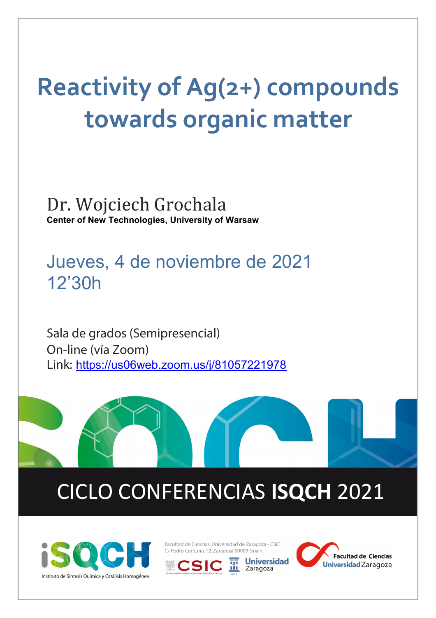# **Reactivity of Ag(2+) compounds towards organic matter**

Dr. Wojciech Grochala **Center of New Technologies, University of Warsaw**

Jueves, 4 de noviembre de 2021 12'30h

Sala de grados (Semipresencial) On-line (vía Zoom) Link: <https://us06web.zoom.us/j/81057221978>

## CICLO CONFERENCIAS **ISQCH** 2021



Facultad de Ciencias, Universidad de Zaragoza - CSIC C/ Pedro Cerbuna, 12. Zaragoza 50009. Spain

**Universidad** 

Zaragoza



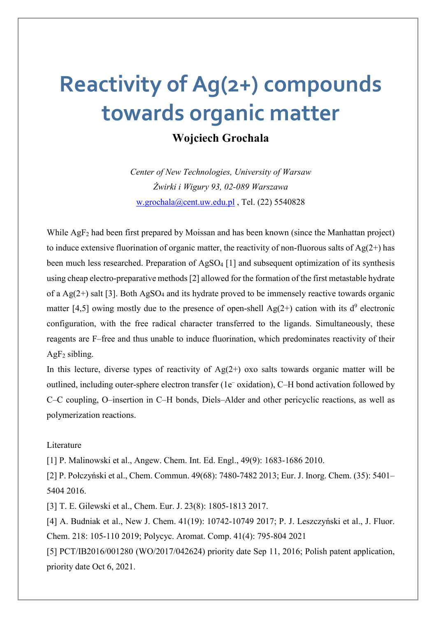## **Reactivity of Ag(2+) compounds towards organic matter**

### **Wojciech Grochala**

*Center of New Technologies, University of Warsaw Żwirki i Wigury 93, 02-089 Warszawa* [w.grochala@cent.uw.edu.pl](mailto:w.grochala@cent.uw.edu.pl), Tel. (22) 5540828

While AgF<sub>2</sub> had been first prepared by Moissan and has been known (since the Manhattan project) to induce extensive fluorination of organic matter, the reactivity of non-fluorous salts of  $Ag(2+)$  has been much less researched. Preparation of AgSO<sub>4</sub> [1] and subsequent optimization of its synthesis using cheap electro-preparative methods [2] allowed for the formation of the first metastable hydrate of a Ag( $2+$ ) salt [3]. Both AgSO<sub>4</sub> and its hydrate proved to be immensely reactive towards organic matter [4,5] owing mostly due to the presence of open-shell Ag(2+) cation with its  $d^9$  electronic configuration, with the free radical character transferred to the ligands. Simultaneously, these reagents are F–free and thus unable to induce fluorination, which predominates reactivity of their  $AgF<sub>2</sub>$  sibling.

In this lecture, diverse types of reactivity of  $Ag(2+)$  oxo salts towards organic matter will be outlined, including outer-sphere electron transfer (1e– oxidation), C–H bond activation followed by C–C coupling, O–insertion in C–H bonds, Diels–Alder and other pericyclic reactions, as well as polymerization reactions.

#### Literature

[1] P. Malinowski et al., Angew. Chem. Int. Ed. Engl., 49(9): 1683-1686 2010.

[2] P. Połczyński et al., Chem. Commun. 49(68): 7480-7482 2013; Eur. J. Inorg. Chem. (35): 5401– 5404 2016.

[3] T. E. Gilewski et al., Chem. Eur. J. 23(8): 1805-1813 2017.

[4] A. Budniak et al., New J. Chem. 41(19): 10742-10749 2017; P. J. Leszczyński et al., J. Fluor. Chem. 218: 105-110 2019; Polycyc. Aromat. Comp. 41(4): 795-804 2021

[5] PCT/IB2016/001280 (WO/2017/042624) priority date Sep 11, 2016; Polish patent application, priority date Oct 6, 2021.